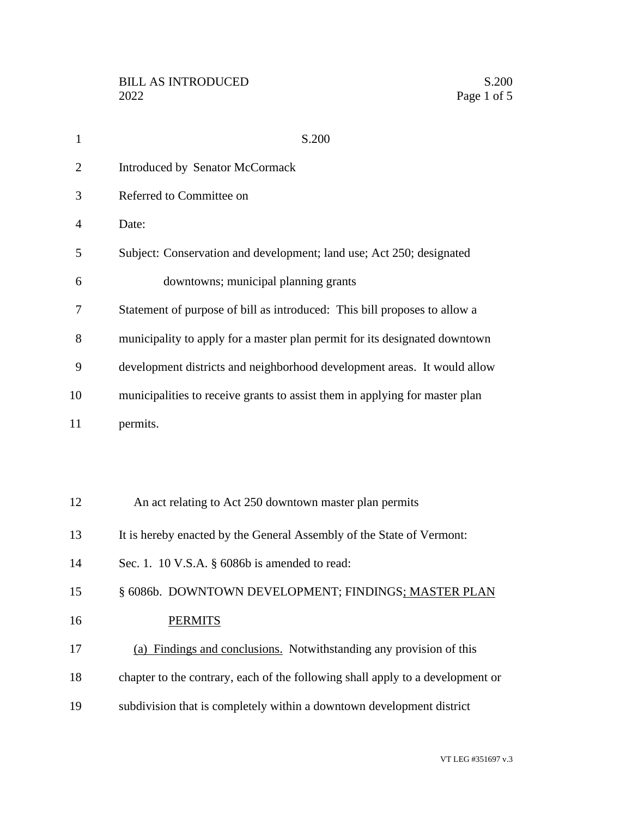| $\mathbf{1}$   | S.200                                                                          |
|----------------|--------------------------------------------------------------------------------|
| $\overline{2}$ | <b>Introduced by Senator McCormack</b>                                         |
| 3              | Referred to Committee on                                                       |
| $\overline{4}$ | Date:                                                                          |
| 5              | Subject: Conservation and development; land use; Act 250; designated           |
| 6              | downtowns; municipal planning grants                                           |
| 7              | Statement of purpose of bill as introduced: This bill proposes to allow a      |
| 8              | municipality to apply for a master plan permit for its designated downtown     |
| 9              | development districts and neighborhood development areas. It would allow       |
| 10             | municipalities to receive grants to assist them in applying for master plan    |
| 11             | permits.                                                                       |
|                |                                                                                |
|                |                                                                                |
| 12             | An act relating to Act 250 downtown master plan permits                        |
| 13             | It is hereby enacted by the General Assembly of the State of Vermont:          |
| 14             | Sec. 1. 10 V.S.A. § 6086b is amended to read:                                  |
| 15             | § 6086b. DOWNTOWN DEVELOPMENT; FINDINGS; MASTER PLAN                           |
| 16             | <b>PERMITS</b>                                                                 |
| 17             | (a) Findings and conclusions. Notwithstanding any provision of this            |
| 18             | chapter to the contrary, each of the following shall apply to a development or |
| 19             | subdivision that is completely within a downtown development district          |
|                |                                                                                |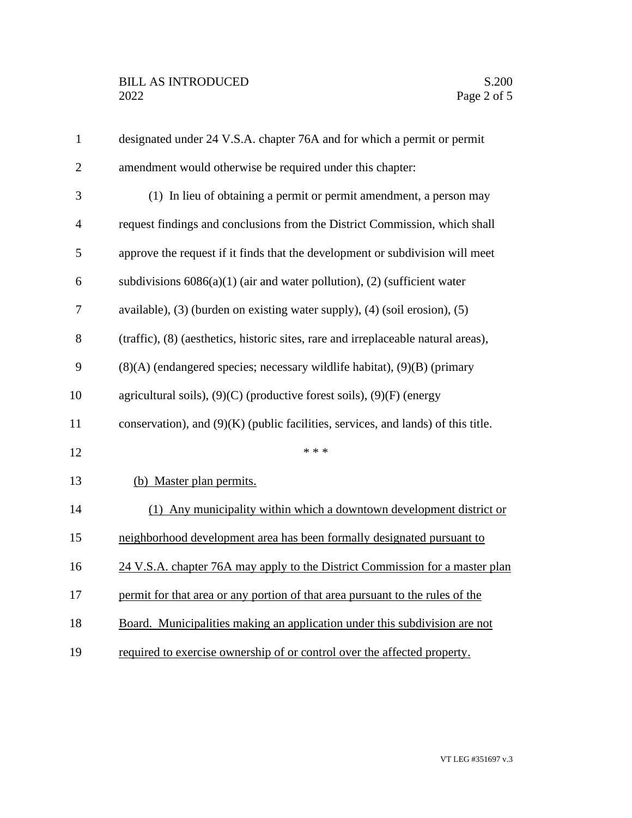| $\mathbf{1}$   | designated under 24 V.S.A. chapter 76A and for which a permit or permit             |
|----------------|-------------------------------------------------------------------------------------|
| $\overline{2}$ | amendment would otherwise be required under this chapter:                           |
| 3              | (1) In lieu of obtaining a permit or permit amendment, a person may                 |
| $\overline{4}$ | request findings and conclusions from the District Commission, which shall          |
| 5              | approve the request if it finds that the development or subdivision will meet       |
| 6              | subdivisions $6086(a)(1)$ (air and water pollution), (2) (sufficient water          |
| 7              | available), (3) (burden on existing water supply), (4) (soil erosion), (5)          |
| 8              | (traffic), (8) (aesthetics, historic sites, rare and irreplaceable natural areas),  |
| 9              | $(8)(A)$ (endangered species; necessary wildlife habitat), $(9)(B)$ (primary        |
| 10             | agricultural soils), $(9)(C)$ (productive forest soils), $(9)(F)$ (energy           |
| 11             | conservation), and $(9)(K)$ (public facilities, services, and lands) of this title. |
| 12             | * * *                                                                               |
| 13             | (b) Master plan permits.                                                            |
| 14             | (1) Any municipality within which a downtown development district or                |
| 15             | neighborhood development area has been formally designated pursuant to              |
| 16             | 24 V.S.A. chapter 76A may apply to the District Commission for a master plan        |
| 17             | permit for that area or any portion of that area pursuant to the rules of the       |
| 18             | Board. Municipalities making an application under this subdivision are not          |
| 19             | required to exercise ownership of or control over the affected property.            |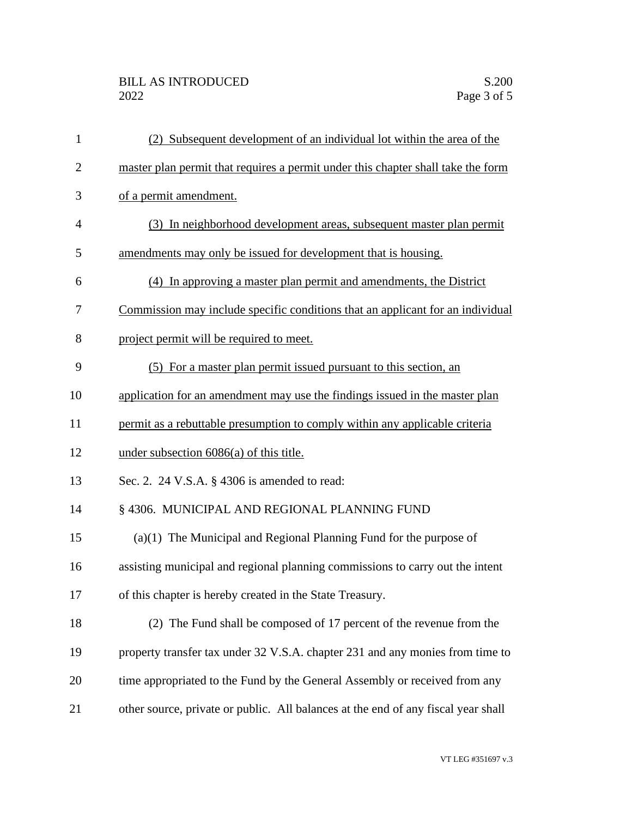| 1              | (2) Subsequent development of an individual lot within the area of the            |
|----------------|-----------------------------------------------------------------------------------|
| $\overline{2}$ | master plan permit that requires a permit under this chapter shall take the form  |
| 3              | of a permit amendment.                                                            |
| $\overline{4}$ | (3) In neighborhood development areas, subsequent master plan permit              |
| 5              | amendments may only be issued for development that is housing.                    |
| 6              | (4) In approving a master plan permit and amendments, the District                |
| 7              | Commission may include specific conditions that an applicant for an individual    |
| 8              | project permit will be required to meet.                                          |
| 9              | (5) For a master plan permit issued pursuant to this section, an                  |
| 10             | application for an amendment may use the findings issued in the master plan       |
| 11             | permit as a rebuttable presumption to comply within any applicable criteria       |
| 12             | under subsection 6086(a) of this title.                                           |
| 13             | Sec. 2. 24 V.S.A. § 4306 is amended to read:                                      |
| 14             | § 4306. MUNICIPAL AND REGIONAL PLANNING FUND                                      |
| 15             | $(a)(1)$ The Municipal and Regional Planning Fund for the purpose of              |
| 16             | assisting municipal and regional planning commissions to carry out the intent     |
| 17             | of this chapter is hereby created in the State Treasury.                          |
| 18             | (2) The Fund shall be composed of 17 percent of the revenue from the              |
| 19             | property transfer tax under 32 V.S.A. chapter 231 and any monies from time to     |
| 20             | time appropriated to the Fund by the General Assembly or received from any        |
| 21             | other source, private or public. All balances at the end of any fiscal year shall |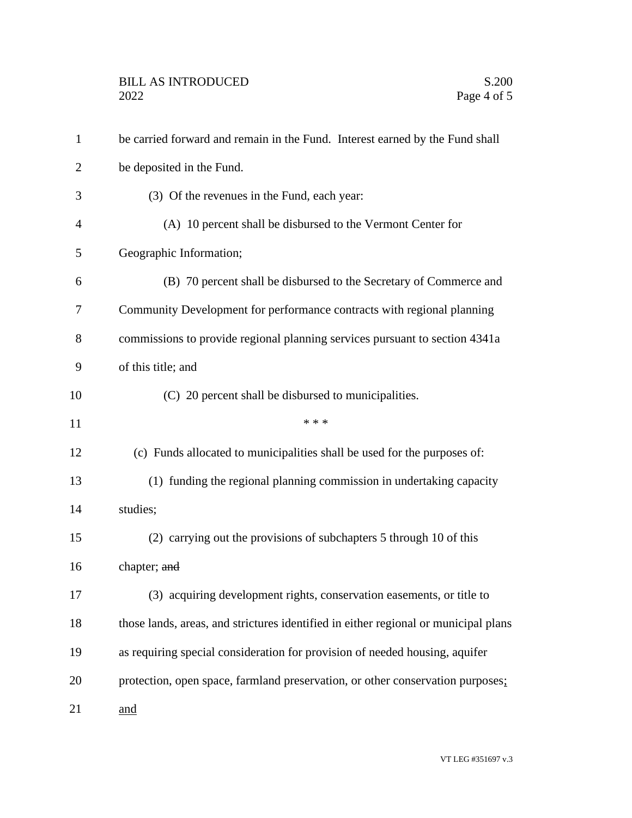| $\mathbf{1}$   | be carried forward and remain in the Fund. Interest earned by the Fund shall        |
|----------------|-------------------------------------------------------------------------------------|
| $\overline{2}$ | be deposited in the Fund.                                                           |
| 3              | (3) Of the revenues in the Fund, each year:                                         |
| $\overline{4}$ | (A) 10 percent shall be disbursed to the Vermont Center for                         |
| 5              | Geographic Information;                                                             |
| 6              | (B) 70 percent shall be disbursed to the Secretary of Commerce and                  |
| 7              | Community Development for performance contracts with regional planning              |
| 8              | commissions to provide regional planning services pursuant to section 4341a         |
| 9              | of this title; and                                                                  |
| 10             | (C) 20 percent shall be disbursed to municipalities.                                |
| 11             | * * *                                                                               |
| 12             | (c) Funds allocated to municipalities shall be used for the purposes of:            |
| 13             | (1) funding the regional planning commission in undertaking capacity                |
| 14             | studies;                                                                            |
| 15             | (2) carrying out the provisions of subchapters 5 through 10 of this                 |
| 16             | chapter; and                                                                        |
| 17             | (3) acquiring development rights, conservation easements, or title to               |
| 18             | those lands, areas, and strictures identified in either regional or municipal plans |
| 19             | as requiring special consideration for provision of needed housing, aquifer         |
| 20             | protection, open space, farmland preservation, or other conservation purposes:      |
| 21             | and                                                                                 |